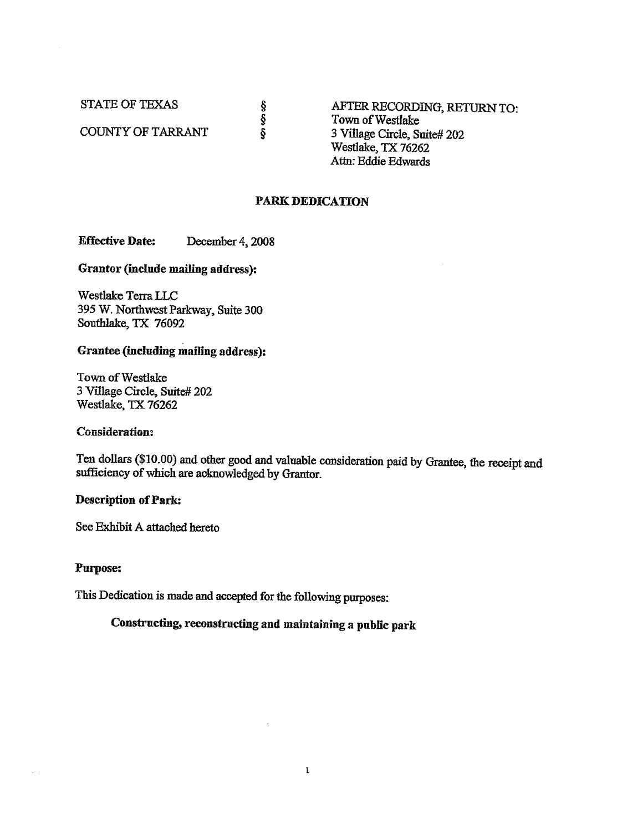**STATE OF TEXAS** 

COUNTY OF TARRANT

AFTER RECORDING, RETURN TO: Town of Westlake 3 Village Circle, Suite# 202 Westlake, TX 76262 Attn: Eddie Edwards

### **PARK DEDICATION**

လ် လက်

**Effective Date:** December 4, 2008

Grantor (include mailing address):

Westlake Terra LLC 395 W. Northwest Parkway, Suite 300 Southlake, TX 76092

### Grantee (including mailing address):

Town of Westlake 3 Village Circle, Suite# 202 Westlake, TX 76262

#### **Consideration:**

Ten dollars (\$10.00) and other good and valuable consideration paid by Grantee, the receipt and sufficiency of which are acknowledged by Grantor.

 $\mathbf{1}$ 

#### **Description of Park:**

See Exhibit A attached hereto

#### **Purpose:**

 $\sim$   $\sim$ 

This Dedication is made and accepted for the following purposes:

Constructing, reconstructing and maintaining a public park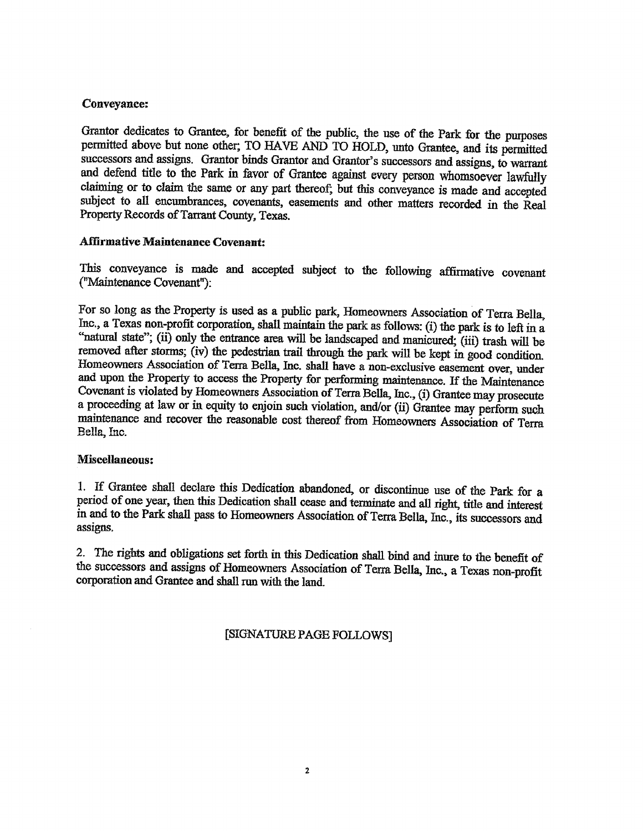## **Conveyance:**

Grantor dedicates to Grantee, for benefit of the public, the use of the Park for the purposes permitted above but none other; TO HAVE AND TO HOLD, unto Grantee, and its permitted successors and assigns. Grantor binds Grantor and Grantor's successors and assigns, to warrant and defend title to the Park in favor of Grantee against every person whomsoever lawfully claiming or to claim the same or any part thereof; but this conveyance is made and accepted subject to all encumbrances, covenants, easements and other matters recorded in the Real Property Records of Tarrant County, Texas.

## **Affirmative Maintenance Covenant:**

This conveyance is made and accepted subject to the following affirmative covenant ("Maintenance Covenant"):

For so long as the Property is used as a public park, Homeowners Association of Terra Bella, Inc., a Texas non-profit corporation, shall maintain the park as follows: (i) the park is to left in a "natural state"; (ii) only the entrance area will be landscaped and manicured; (iii) trash will be removed after storms; (iv) the pedestrian trail through the park will be kept in good condition. Homeowners Association of Terra Bella, Inc. shall have a non-exclusive easement over, under and upon the Property to access the Property for performing maintenance. If the Maintenance Covenant is violated by Homeowners Association of Terra Bella, Inc., (i) Grantee may prosecute a proceeding at law or in equity to enjoin such violation, and/or (ii) Grantee may perform such maintenance and recover the reasonable cost thereof from Homeowners Association of Terra Bella, Inc.

## Miscellaneous:

1. If Grantee shall declare this Dedication abandoned, or discontinue use of the Park for a period of one year, then this Dedication shall cease and terminate and all right, title and interest in and to the Park shall pass to Homeowners Association of Terra Bella, Inc., its successors and assigns.

2. The rights and obligations set forth in this Dedication shall bind and inure to the benefit of the successors and assigns of Homeowners Association of Terra Bella, Inc., a Texas non-profit corporation and Grantee and shall run with the land.

## [SIGNATURE PAGE FOLLOWS]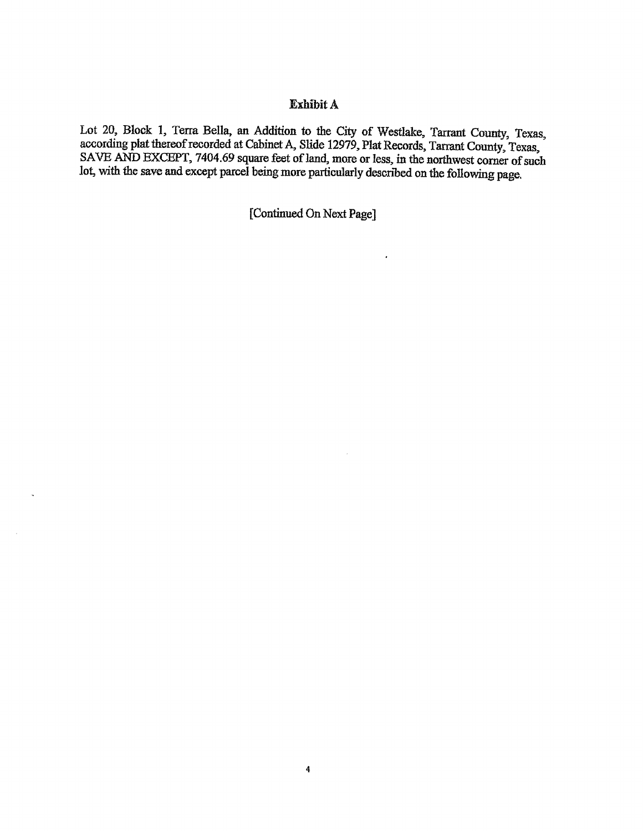## Exhibit A

Lot 20, Block 1, Terra Bella, an Addition to the City of Westlake, Tarrant County, Texas, according plat thereof recorded at Cabinet A, Slide 12979, Plat Records, Tarrant County, Texas, SAVE AND EXCEPT, 7404.69 square feet of land, more or less, in the northwest corner of such lot, with the save and except parcel being more particularly described on the following page.

[Continued On Next Page]

 $\hat{\boldsymbol{\cdot} }$ 

 $\sim$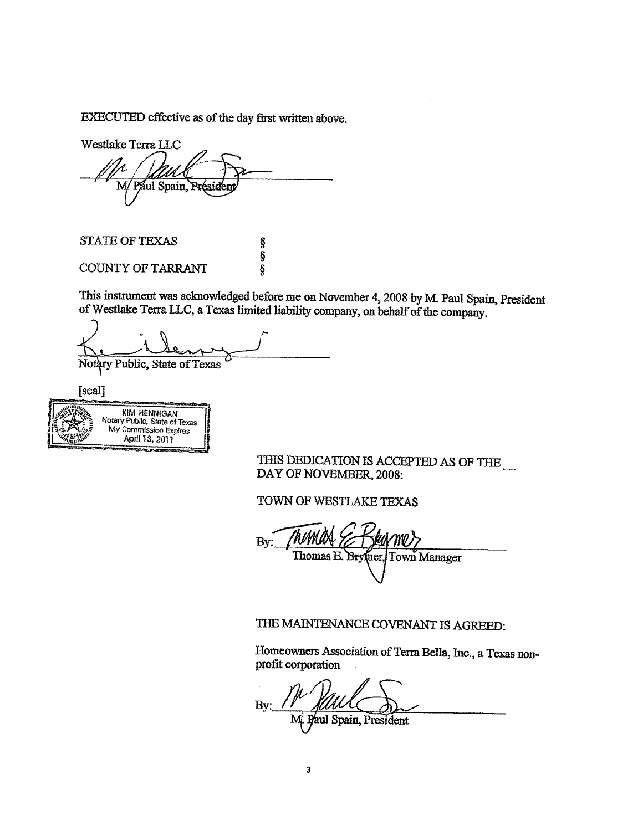EXECUTED effective as of the day first written above.

Westlake Terra LLC M/Paul Spain, Prés

**STATE OF TEXAS** 

COUNTY OF TARRANT

This instrument was acknowledged before me on November 4, 2008 by M. Paul Spain, President of Westlake Terra LLC, a Texas limited liability company, on behalf of the company.

es es es

Notary Public, State of Texas

[seal]

**KIM HENNIGAN** Notary Public, State of Texas My Commission Expires April 13, 2011

THIS DEDICATION IS ACCEPTED AS OF THE  $\_$ DAY OF NOVEMBER, 2008:

TOWN OF WESTLAKE TEXAS

 $By:$ Thomas E. Brytner, Town Manager

# THE MAINTENANCE COVENANT IS AGREED:

Homeowners Association of Terra Bella, Inc., a Texas nonprofit corporation

Bv: aul Spain, President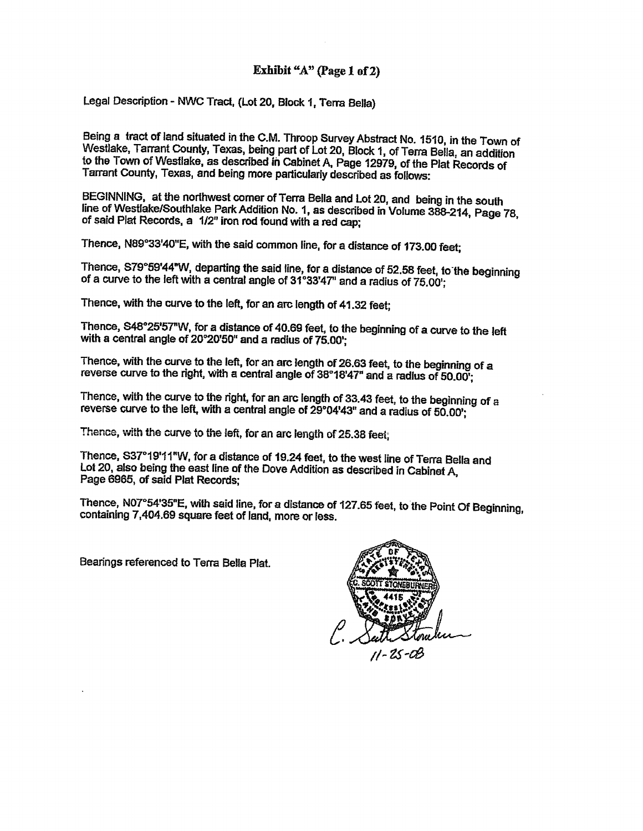## Exhibit "A" (Page 1 of 2)

Legal Description - NWC Tract, (Lot 20, Block 1, Terra Bella)

Being a tract of land situated in the C.M. Throop Survey Abstract No. 1510, in the Town of Westlake, Tarrant County, Texas, being part of Lot 20, Block 1, of Terra Bella, an addition to the Town of Westlake, as described in Cabinet A, Page 12979, of the Plat Records of Tarrant County, Texas, and being more particularly described as follows:

BEGINNING, at the northwest corner of Terra Bella and Lot 20, and being in the south line of Westlake/Southlake Park Addition No. 1, as described in Volume 388-214, Page 78, of said Plat Records, a 1/2" iron rod found with a red cap:

Thence, N89°33'40"E, with the said common line, for a distance of 173.00 feet:

Thence, S79°59'44"W, departing the said line, for a distance of 52.58 feet, to the beginning of a curve to the left with a central angle of 31°33'47" and a radius of 75.00':

Thence, with the curve to the left, for an arc length of 41.32 feet;

Thence, S48°25'57"W, for a distance of 40.69 feet, to the beginning of a curve to the left with a central angle of 20°20'50" and a radius of 75.00";

Thence, with the curve to the left, for an arc length of 26.63 feet, to the beginning of a reverse curve to the right, with a central angle of 38°18'47" and a radius of 50.00;

Thence, with the curve to the right, for an arc length of 33.43 feet, to the beginning of a reverse curve to the left, with a central angle of 29°04'43" and a radius of 50.00";

Thence, with the curve to the left, for an arc length of 25.38 feet;

Thence, S37°19'11"W, for a distance of 19.24 feet, to the west line of Terra Bella and Lot 20, also being the east line of the Dove Addition as described in Cabinet A, Page 6965, of said Plat Records:

Thence, N07°54'35"E, with said line, for a distance of 127.65 feet, to the Point Of Beginning. containing 7,404.69 square feet of land, more or less.

Bearings referenced to Terra Bella Plat.